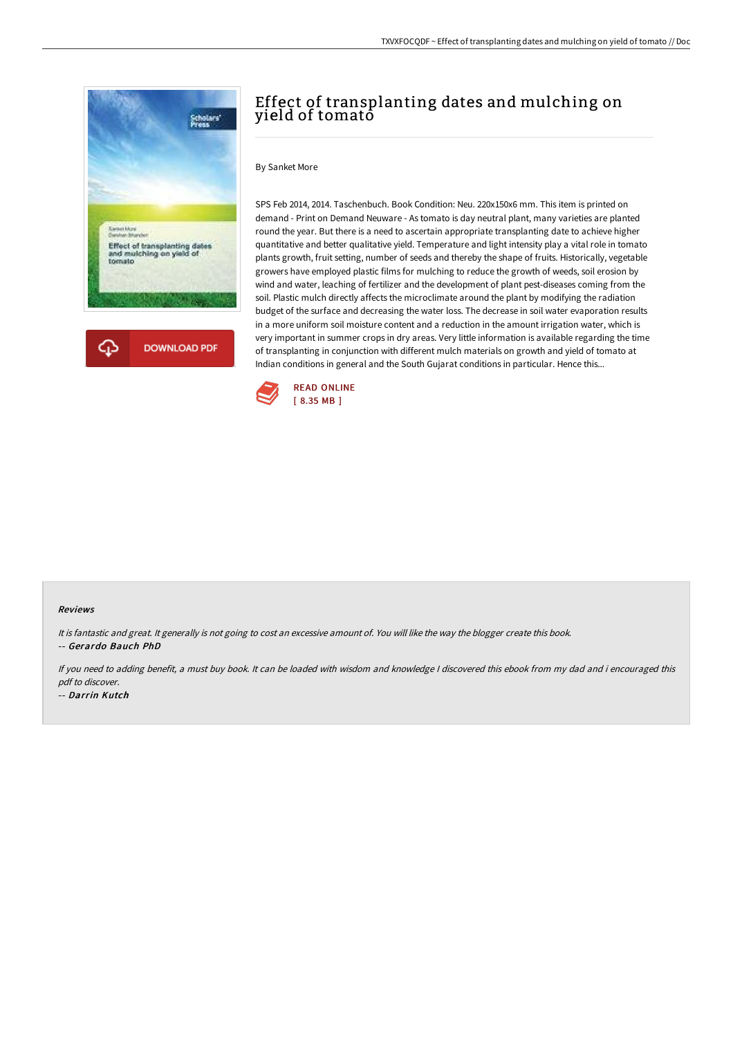



# Effect of transplanting dates and mulching on yield of tomato

### By Sanket More

SPS Feb 2014, 2014. Taschenbuch. Book Condition: Neu. 220x150x6 mm. This item is printed on demand - Print on Demand Neuware - As tomato is day neutral plant, many varieties are planted round the year. But there is a need to ascertain appropriate transplanting date to achieve higher quantitative and better qualitative yield. Temperature and light intensity play a vital role in tomato plants growth, fruit setting, number of seeds and thereby the shape of fruits. Historically, vegetable growers have employed plastic films for mulching to reduce the growth of weeds, soil erosion by wind and water, leaching of fertilizer and the development of plant pest-diseases coming from the soil. Plastic mulch directly affects the microclimate around the plant by modifying the radiation budget of the surface and decreasing the water loss. The decrease in soil water evaporation results in a more uniform soil moisture content and a reduction in the amount irrigation water, which is very important in summer crops in dry areas. Very little information is available regarding the time of transplanting in conjunction with different mulch materials on growth and yield of tomato at Indian conditions in general and the South Gujarat conditions in particular. Hence this...



#### Reviews

It is fantastic and great. It generally is not going to cost an excessive amount of. You will like the way the blogger create this book. -- Gerardo Bauch PhD

If you need to adding benefit, <sup>a</sup> must buy book. It can be loaded with wisdom and knowledge <sup>I</sup> discovered this ebook from my dad and i encouraged this pdf to discover.

-- Darrin Kutch